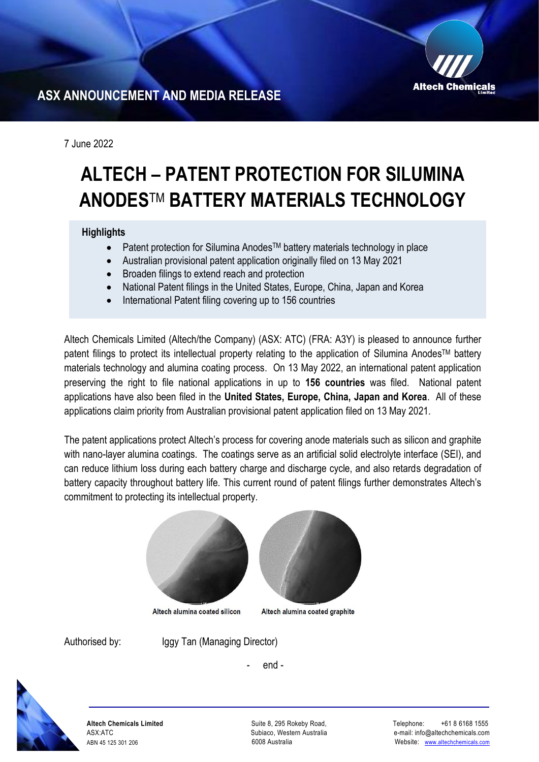

# **ASX ANNOUNCEMENT AND MEDIA RELEASE**

7 June 2022

# **ALTECH – PATENT PROTECTION FOR SILUMINA ANODES**TM **BATTERY MATERIALS TECHNOLOGY**

## **Highlights**

- Patent protection for Silumina Anodes<sup>™</sup> battery materials technology in place
- Australian provisional patent application originally filed on 13 May 2021
- Broaden filings to extend reach and protection
- National Patent filings in the United States, Europe, China, Japan and Korea
- International Patent filing covering up to 156 countries

Altech Chemicals Limited (Altech/the Company) (ASX: ATC) (FRA: A3Y) is pleased to announce further patent filings to protect its intellectual property relating to the application of Silumina Anodes™ battery materials technology and alumina coating process. On 13 May 2022, an international patent application preserving the right to file national applications in up to **156 countries** was filed. National patent applications have also been filed in the **United States, Europe, China, Japan and Korea**. All of these applications claim priority from Australian provisional patent application filed on 13 May 2021.

The patent applications protect Altech's process for covering anode materials such as silicon and graphite with nano-layer alumina coatings. The coatings serve as an artificial solid electrolyte interface (SEI), and can reduce lithium loss during each battery charge and discharge cycle, and also retards degradation of battery capacity throughout battery life. This current round of patent filings further demonstrates Altech's commitment to protecting its intellectual property.



Altech alumina coated silicon

Altech alumina coated graphite

Authorised by: Iggy Tan (Managing Director)

- end -



**Altech Chemicals Limited**  ASX:ATC ABN 45 125 301 206

Suite 8, 295 Rokeby Road, Subiaco, Western Australia 6008 Australia

 Telephone: +61 8 6168 1555 e-mail: info@altechchemicals.com Website: [www.altechchemicals.com](http://www.altechchemicals.com/)